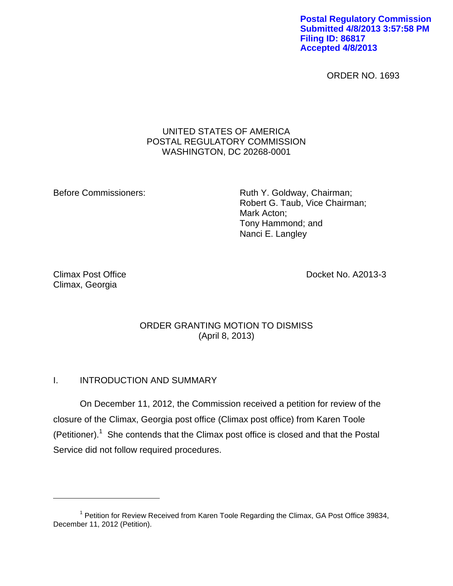**Postal Regulatory Commission Submitted 4/8/2013 3:57:58 PM Filing ID: 86817 Accepted 4/8/2013**

ORDER NO. 1693

### UNITED STATES OF AMERICA POSTAL REGULATORY COMMISSION WASHINGTON, DC 20268-0001

Before Commissioners: Ruth Y. Goldway, Chairman; Robert G. Taub, Vice Chairman; Mark Acton; Tony Hammond; and Nanci E. Langley

Climax, Georgia

 $\overline{a}$ 

Climax Post Office Docket No. A2013-3

# ORDER GRANTING MOTION TO DISMISS (April 8, 2013)

## I. INTRODUCTION AND SUMMARY

On December 11, 2012, the Commission received a petition for review of the closure of the Climax, Georgia post office (Climax post office) from Karen Toole (Petitioner).<sup>1</sup> She contends that the Climax post office is closed and that the Postal Service did not follow required procedures.

<sup>&</sup>lt;sup>1</sup> Petition for Review Received from Karen Toole Regarding the Climax, GA Post Office 39834, December 11, 2012 (Petition).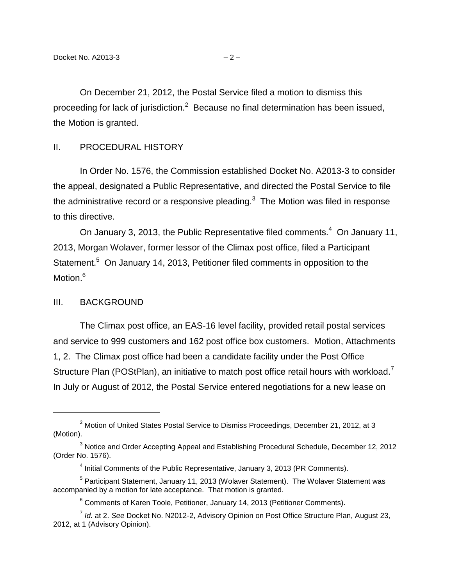On December 21, 2012, the Postal Service filed a motion to dismiss this proceeding for lack of jurisdiction.<sup>2</sup> Because no final determination has been issued, the Motion is granted.

#### II. PROCEDURAL HISTORY

In Order No. 1576, the Commission established Docket No. A2013-3 to consider the appeal, designated a Public Representative, and directed the Postal Service to file the administrative record or a responsive pleading.<sup>3</sup> The Motion was filed in response to this directive.

On January 3, 2013, the Public Representative filed comments. $4$  On January 11, 2013, Morgan Wolaver, former lessor of the Climax post office, filed a Participant Statement.<sup>5</sup> On January 14, 2013, Petitioner filed comments in opposition to the Motion.<sup>6</sup>

#### III. BACKGROUND

 $\overline{a}$ 

The Climax post office, an EAS-16 level facility, provided retail postal services and service to 999 customers and 162 post office box customers. Motion, Attachments 1, 2. The Climax post office had been a candidate facility under the Post Office Structure Plan (POStPlan), an initiative to match post office retail hours with workload.<sup>7</sup> In July or August of 2012, the Postal Service entered negotiations for a new lease on

<sup>5</sup> Participant Statement, January 11, 2013 (Wolaver Statement). The Wolaver Statement was accompanied by a motion for late acceptance. That motion is granted.

<sup>&</sup>lt;sup>2</sup> Motion of United States Postal Service to Dismiss Proceedings, December 21, 2012, at 3 (Motion).

<sup>&</sup>lt;sup>3</sup> Notice and Order Accepting Appeal and Establishing Procedural Schedule, December 12, 2012 (Order No. 1576).

 $<sup>4</sup>$  Initial Comments of the Public Representative, January 3, 2013 (PR Comments).</sup>

<sup>&</sup>lt;sup>6</sup> Comments of Karen Toole, Petitioner, January 14, 2013 (Petitioner Comments).

<sup>7</sup> *Id.* at 2. *See* Docket No. N2012-2, Advisory Opinion on Post Office Structure Plan, August 23, 2012, at 1 (Advisory Opinion).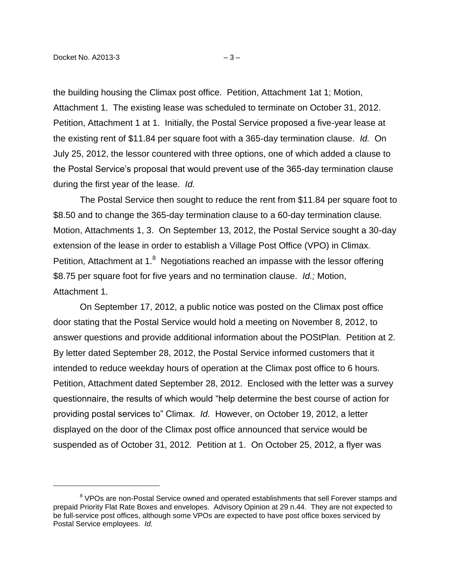$\overline{a}$ 

the building housing the Climax post office. Petition, Attachment 1at 1; Motion, Attachment 1. The existing lease was scheduled to terminate on October 31, 2012. Petition, Attachment 1 at 1. Initially, the Postal Service proposed a five-year lease at the existing rent of \$11.84 per square foot with a 365-day termination clause. *Id.* On July 25, 2012, the lessor countered with three options, one of which added a clause to the Postal Service's proposal that would prevent use of the 365-day termination clause during the first year of the lease. *Id.*

The Postal Service then sought to reduce the rent from \$11.84 per square foot to \$8.50 and to change the 365-day termination clause to a 60-day termination clause. Motion, Attachments 1, 3. On September 13, 2012, the Postal Service sought a 30-day extension of the lease in order to establish a Village Post Office (VPO) in Climax. Petition, Attachment at 1. $8$  Negotiations reached an impasse with the lessor offering \$8.75 per square foot for five years and no termination clause. *Id.;* Motion, Attachment 1.

On September 17, 2012, a public notice was posted on the Climax post office door stating that the Postal Service would hold a meeting on November 8, 2012, to answer questions and provide additional information about the POStPlan. Petition at 2. By letter dated September 28, 2012, the Postal Service informed customers that it intended to reduce weekday hours of operation at the Climax post office to 6 hours. Petition, Attachment dated September 28, 2012. Enclosed with the letter was a survey questionnaire, the results of which would "help determine the best course of action for providing postal services to" Climax. *Id.* However, on October 19, 2012, a letter displayed on the door of the Climax post office announced that service would be suspended as of October 31, 2012. Petition at 1. On October 25, 2012, a flyer was

<sup>&</sup>lt;sup>8</sup> VPOs are non-Postal Service owned and operated establishments that sell Forever stamps and prepaid Priority Flat Rate Boxes and envelopes. Advisory Opinion at 29 n.44. They are not expected to be full-service post offices, although some VPOs are expected to have post office boxes serviced by Postal Service employees. *Id.*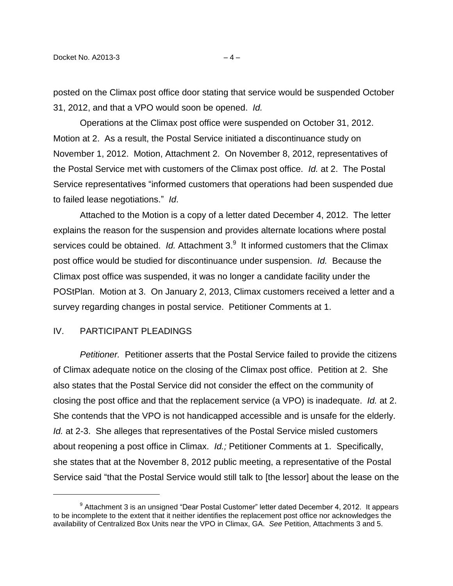posted on the Climax post office door stating that service would be suspended October 31, 2012, and that a VPO would soon be opened. *Id.*

Operations at the Climax post office were suspended on October 31, 2012. Motion at 2. As a result, the Postal Service initiated a discontinuance study on November 1, 2012. Motion, Attachment 2. On November 8, 2012, representatives of the Postal Service met with customers of the Climax post office. *Id.* at 2. The Postal Service representatives "informed customers that operations had been suspended due to failed lease negotiations." *Id*.

Attached to the Motion is a copy of a letter dated December 4, 2012. The letter explains the reason for the suspension and provides alternate locations where postal services could be obtained. Id. Attachment 3.<sup>9</sup> It informed customers that the Climax post office would be studied for discontinuance under suspension. *Id.* Because the Climax post office was suspended, it was no longer a candidate facility under the POStPlan. Motion at 3. On January 2, 2013, Climax customers received a letter and a survey regarding changes in postal service. Petitioner Comments at 1.

#### IV. PARTICIPANT PLEADINGS

 $\overline{a}$ 

*Petitioner.* Petitioner asserts that the Postal Service failed to provide the citizens of Climax adequate notice on the closing of the Climax post office. Petition at 2. She also states that the Postal Service did not consider the effect on the community of closing the post office and that the replacement service (a VPO) is inadequate. *Id.* at 2. She contends that the VPO is not handicapped accessible and is unsafe for the elderly. *Id.* at 2-3. She alleges that representatives of the Postal Service misled customers about reopening a post office in Climax. *Id.;* Petitioner Comments at 1. Specifically, she states that at the November 8, 2012 public meeting, a representative of the Postal Service said "that the Postal Service would still talk to [the lessor] about the lease on the

<sup>&</sup>lt;sup>9</sup> Attachment 3 is an unsigned "Dear Postal Customer" letter dated December 4, 2012. It appears to be incomplete to the extent that it neither identifies the replacement post office nor acknowledges the availability of Centralized Box Units near the VPO in Climax, GA. *See* Petition, Attachments 3 and 5.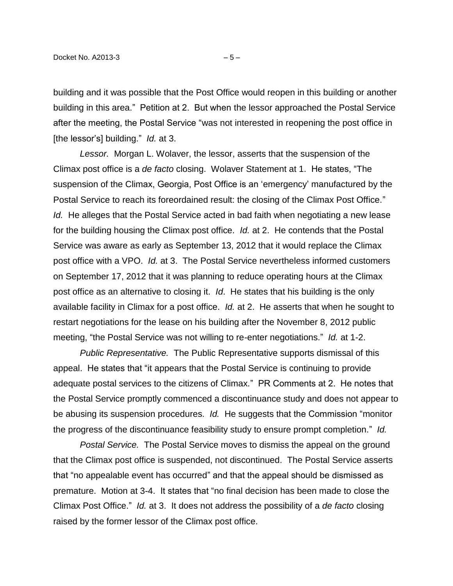building and it was possible that the Post Office would reopen in this building or another building in this area." Petition at 2. But when the lessor approached the Postal Service after the meeting, the Postal Service "was not interested in reopening the post office in [the lessor's] building." *Id.* at 3.

*Lessor.* Morgan L. Wolaver, the lessor, asserts that the suspension of the Climax post office is a *de facto* closing. Wolaver Statement at 1. He states, "The suspension of the Climax, Georgia, Post Office is an 'emergency' manufactured by the Postal Service to reach its foreordained result: the closing of the Climax Post Office." *Id.* He alleges that the Postal Service acted in bad faith when negotiating a new lease for the building housing the Climax post office. *Id.* at 2. He contends that the Postal Service was aware as early as September 13, 2012 that it would replace the Climax post office with a VPO. *Id.* at 3. The Postal Service nevertheless informed customers on September 17, 2012 that it was planning to reduce operating hours at the Climax post office as an alternative to closing it. *Id*. He states that his building is the only available facility in Climax for a post office. *Id.* at 2. He asserts that when he sought to restart negotiations for the lease on his building after the November 8, 2012 public meeting, "the Postal Service was not willing to re-enter negotiations." *Id.* at 1-2.

*Public Representative.* The Public Representative supports dismissal of this appeal. He states that "it appears that the Postal Service is continuing to provide adequate postal services to the citizens of Climax." PR Comments at 2. He notes that the Postal Service promptly commenced a discontinuance study and does not appear to be abusing its suspension procedures. *Id.* He suggests that the Commission "monitor the progress of the discontinuance feasibility study to ensure prompt completion." *Id.*

*Postal Service.* The Postal Service moves to dismiss the appeal on the ground that the Climax post office is suspended, not discontinued. The Postal Service asserts that "no appealable event has occurred" and that the appeal should be dismissed as premature. Motion at 3-4. It states that "no final decision has been made to close the Climax Post Office." *Id.* at 3. It does not address the possibility of a *de facto* closing raised by the former lessor of the Climax post office.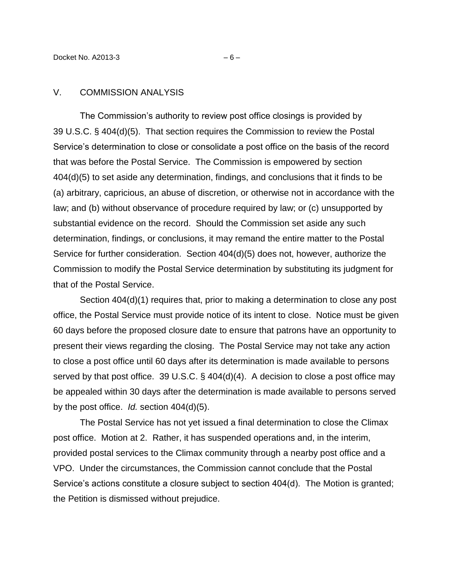#### V. COMMISSION ANALYSIS

The Commission's authority to review post office closings is provided by 39 U.S.C. § 404(d)(5). That section requires the Commission to review the Postal Service's determination to close or consolidate a post office on the basis of the record that was before the Postal Service. The Commission is empowered by section 404(d)(5) to set aside any determination, findings, and conclusions that it finds to be (a) arbitrary, capricious, an abuse of discretion, or otherwise not in accordance with the law; and (b) without observance of procedure required by law; or (c) unsupported by substantial evidence on the record. Should the Commission set aside any such determination, findings, or conclusions, it may remand the entire matter to the Postal Service for further consideration. Section 404(d)(5) does not, however, authorize the Commission to modify the Postal Service determination by substituting its judgment for that of the Postal Service.

Section 404(d)(1) requires that, prior to making a determination to close any post office, the Postal Service must provide notice of its intent to close. Notice must be given 60 days before the proposed closure date to ensure that patrons have an opportunity to present their views regarding the closing. The Postal Service may not take any action to close a post office until 60 days after its determination is made available to persons served by that post office. 39 U.S.C. § 404(d)(4). A decision to close a post office may be appealed within 30 days after the determination is made available to persons served by the post office. *Id.* section 404(d)(5).

The Postal Service has not yet issued a final determination to close the Climax post office. Motion at 2. Rather, it has suspended operations and, in the interim, provided postal services to the Climax community through a nearby post office and a VPO. Under the circumstances, the Commission cannot conclude that the Postal Service's actions constitute a closure subject to section 404(d). The Motion is granted; the Petition is dismissed without prejudice.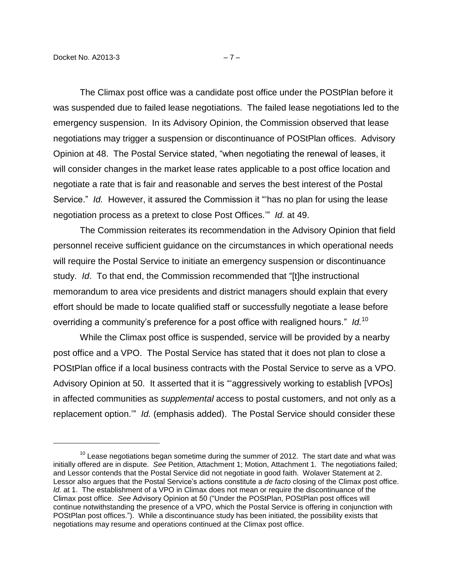$\overline{a}$ 

The Climax post office was a candidate post office under the POStPlan before it was suspended due to failed lease negotiations. The failed lease negotiations led to the emergency suspension. In its Advisory Opinion, the Commission observed that lease negotiations may trigger a suspension or discontinuance of POStPlan offices. Advisory Opinion at 48. The Postal Service stated, "when negotiating the renewal of leases, it will consider changes in the market lease rates applicable to a post office location and negotiate a rate that is fair and reasonable and serves the best interest of the Postal Service." *Id.* However, it assured the Commission it "'has no plan for using the lease negotiation process as a pretext to close Post Offices.'" *Id.* at 49.

The Commission reiterates its recommendation in the Advisory Opinion that field personnel receive sufficient guidance on the circumstances in which operational needs will require the Postal Service to initiate an emergency suspension or discontinuance study. *Id*. To that end, the Commission recommended that "[t]he instructional memorandum to area vice presidents and district managers should explain that every effort should be made to locate qualified staff or successfully negotiate a lease before overriding a community's preference for a post office with realigned hours." *Id.*<sup>10</sup>

While the Climax post office is suspended, service will be provided by a nearby post office and a VPO. The Postal Service has stated that it does not plan to close a POStPlan office if a local business contracts with the Postal Service to serve as a VPO. Advisory Opinion at 50. It asserted that it is "'aggressively working to establish [VPOs] in affected communities as *supplemental* access to postal customers, and not only as a replacement option.'" *Id.* (emphasis added). The Postal Service should consider these

 $10$  Lease negotiations began sometime during the summer of 2012. The start date and what was initially offered are in dispute. *See* Petition, Attachment 1; Motion, Attachment 1. The negotiations failed; and Lessor contends that the Postal Service did not negotiate in good faith. Wolaver Statement at 2. Lessor also argues that the Postal Service's actions constitute a *de facto* closing of the Climax post office. *Id.* at 1. The establishment of a VPO in Climax does not mean or require the discontinuance of the Climax post office. *See* Advisory Opinion at 50 ("Under the POStPlan, POStPlan post offices will continue notwithstanding the presence of a VPO, which the Postal Service is offering in conjunction with POStPlan post offices."). While a discontinuance study has been initiated, the possibility exists that negotiations may resume and operations continued at the Climax post office.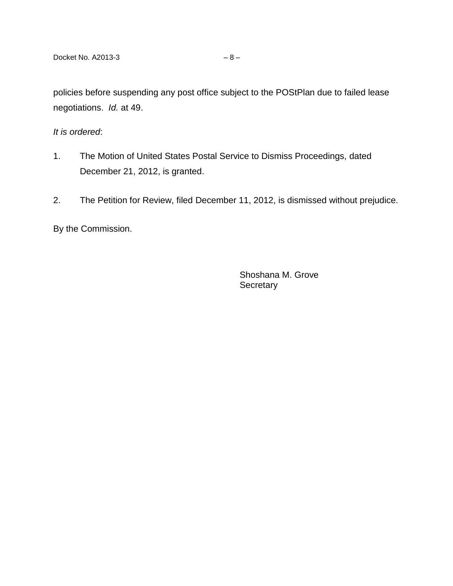policies before suspending any post office subject to the POStPlan due to failed lease negotiations. *Id.* at 49.

*It is ordered*:

- 1. The Motion of United States Postal Service to Dismiss Proceedings, dated December 21, 2012, is granted.
- 2. The Petition for Review, filed December 11, 2012, is dismissed without prejudice.

By the Commission.

Shoshana M. Grove **Secretary**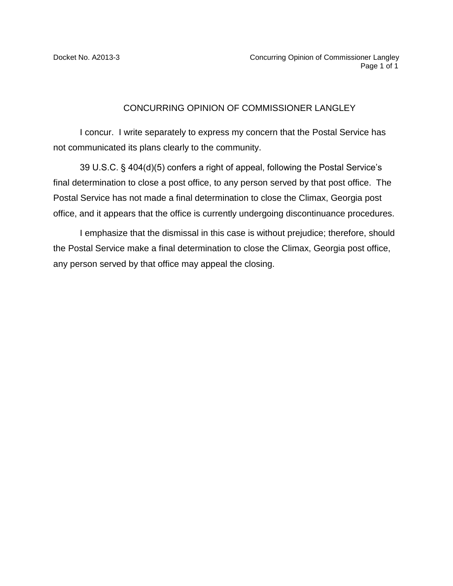### CONCURRING OPINION OF COMMISSIONER LANGLEY

I concur. I write separately to express my concern that the Postal Service has not communicated its plans clearly to the community.

39 U.S.C. § 404(d)(5) confers a right of appeal, following the Postal Service's final determination to close a post office, to any person served by that post office. The Postal Service has not made a final determination to close the Climax, Georgia post office, and it appears that the office is currently undergoing discontinuance procedures.

I emphasize that the dismissal in this case is without prejudice; therefore, should the Postal Service make a final determination to close the Climax, Georgia post office, any person served by that office may appeal the closing.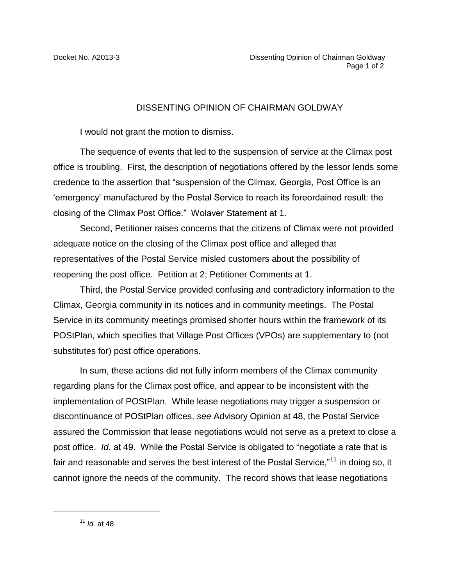### DISSENTING OPINION OF CHAIRMAN GOLDWAY

I would not grant the motion to dismiss.

The sequence of events that led to the suspension of service at the Climax post office is troubling. First, the description of negotiations offered by the lessor lends some credence to the assertion that "suspension of the Climax, Georgia, Post Office is an 'emergency' manufactured by the Postal Service to reach its foreordained result: the closing of the Climax Post Office." Wolaver Statement at 1.

Second, Petitioner raises concerns that the citizens of Climax were not provided adequate notice on the closing of the Climax post office and alleged that representatives of the Postal Service misled customers about the possibility of reopening the post office. Petition at 2; Petitioner Comments at 1.

Third, the Postal Service provided confusing and contradictory information to the Climax, Georgia community in its notices and in community meetings. The Postal Service in its community meetings promised shorter hours within the framework of its POStPlan, which specifies that Village Post Offices (VPOs) are supplementary to (not substitutes for) post office operations.

In sum, these actions did not fully inform members of the Climax community regarding plans for the Climax post office, and appear to be inconsistent with the implementation of POStPlan. While lease negotiations may trigger a suspension or discontinuance of POStPlan offices, *see* Advisory Opinion at 48, the Postal Service assured the Commission that lease negotiations would not serve as a pretext to close a post office. *Id.* at 49. While the Postal Service is obligated to "negotiate a rate that is fair and reasonable and serves the best interest of the Postal Service,"<sup>11</sup> in doing so, it cannot ignore the needs of the community. The record shows that lease negotiations

 $\overline{a}$